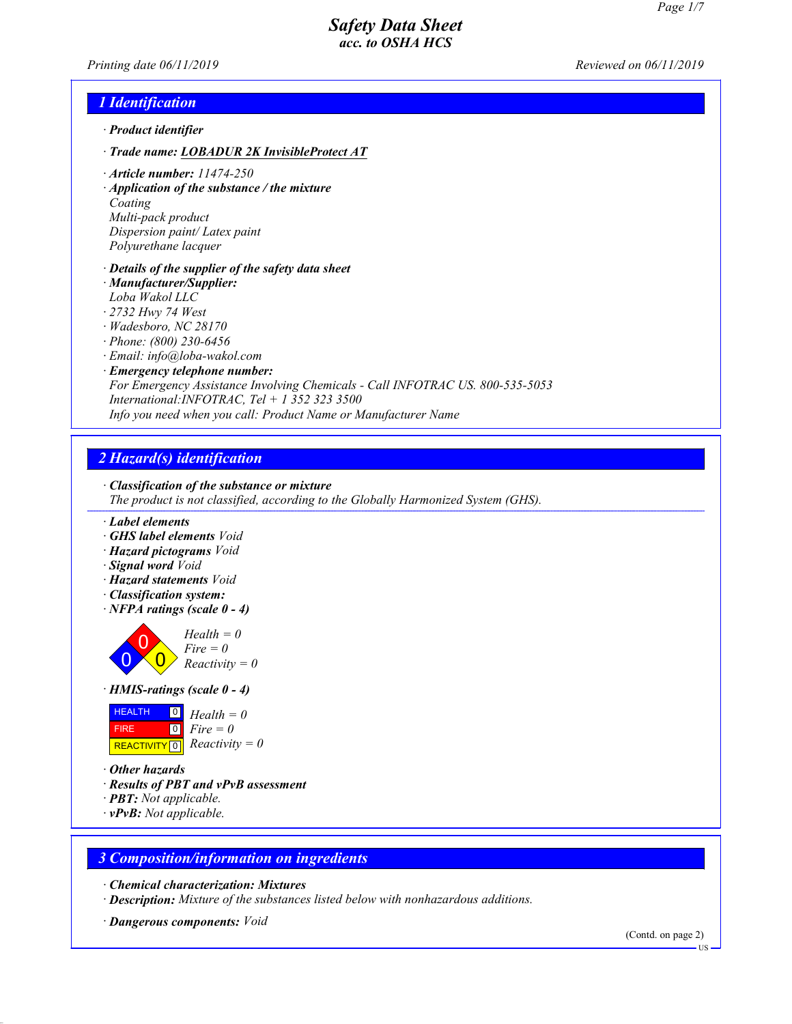Printing date 06/11/2019 Reviewed on 06/11/2019

#### 1 Identification

- · Product identifier
- · Trade name: LOBADUR 2K InvisibleProtect AT
- · Article number: 11474-250
- · Application of the substance / the mixture

Coating Multi-pack product Dispersion paint/ Latex paint Polyurethane lacquer

- · Details of the supplier of the safety data sheet
- · Manufacturer/Supplier:
- *Loba Wakol LLC*
- · *2732 Hwy 74 West*
- · *Wadesboro, NC 28170*
- · *Phone: (800) 230-6456*
- · *Email: info@loba-wakol.com*
- · Emergency telephone number: For Emergency Assistance Involving Chemicals - Call INFOTRAC US. 800-535-5053 International:INFOTRAC, Tel + 1 352 323 3500 Info you need when you call: Product Name or Manufacturer Name

# 2 Hazard(s) identification

· Classification of the substance or mixture

- The product is not classified, according to the Globally Harmonized System (GHS).
- · Label elements
- · GHS label elements Void
- · Hazard pictograms Void
- · Signal word Void
- · Hazard statements Void
- · Classification system:
- · NFPA ratings (scale 0 4)



#### · HMIS-ratings (scale 0 - 4)



· Other hazards

49.0.2

- · Results of PBT and vPvB assessment
- · PBT: Not applicable.
- · vPvB: Not applicable.

## 3 Composition/information on ingredients

· Chemical characterization: Mixtures

- · Description: Mixture of the substances listed below with nonhazardous additions.
- · Dangerous components: Void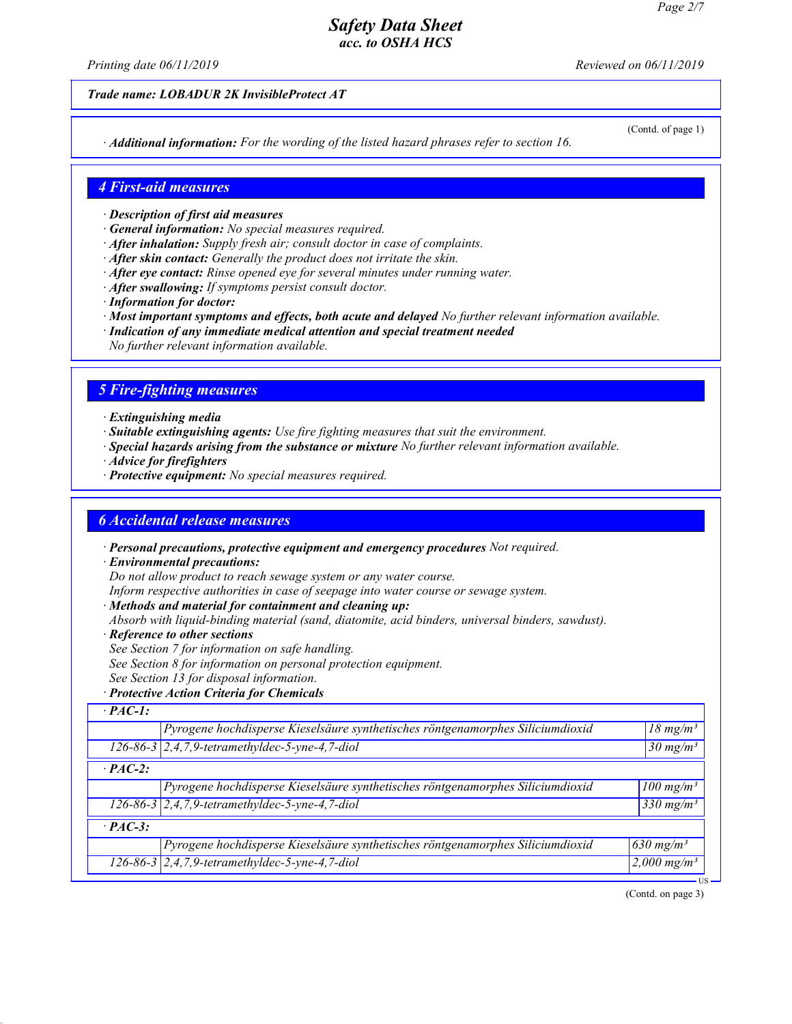Printing date  $06/11/2019$  Reviewed on  $06/11/2019$ 

Trade name: LOBADUR 2K InvisibleProtect AT

· Additional information: For the wording of the listed hazard phrases refer to section 16.

(Contd. of page 1)

#### 4 First-aid measures

- · Description of first aid measures
- · General information: No special measures required.
- · After inhalation: Supply fresh air; consult doctor in case of complaints.
- · After skin contact: Generally the product does not irritate the skin.
- $\cdot$  After eve contact: Rinse opened eve for several minutes under running water.
- · After swallowing: If symptoms persist consult doctor.
- · Information for doctor:
- · Most important symptoms and effects, both acute and delayed No further relevant information available.
- · Indication of any immediate medical attention and special treatment needed
- No further relevant information available.

#### 5 Fire-fighting measures

- · Extinguishing media
- · Suitable extinguishing agents: Use fire fighting measures that suit the environment.
- · Special hazards arising from the substance or mixture No further relevant information available.
- · Advice for firefighters
- · Protective equipment: No special measures required.

#### 6 Accidental release measures

· Personal precautions, protective equipment and emergency procedures Not required.

· Environmental precautions:

Do not allow product to reach sewage system or any water course.

Inform respective authorities in case of seepage into water course or sewage system.

- · Methods and material for containment and cleaning up:
- Absorb with liquid-binding material (sand, diatomite, acid binders, universal binders, sawdust).
- · Reference to other sections

49.0.2

- See Section 7 for information on safe handling.
- See Section 8 for information on personal protection equipment.
- See Section 13 for disposal information.
- · Protective Action Criteria for Chemicals

| $PAC-1$ :      |                                                                                |                         |
|----------------|--------------------------------------------------------------------------------|-------------------------|
|                | Pyrogene hochdisperse Kieselsäure synthetisches röntgenamorphes Siliciumdioxid | $18 \text{ mg/m}^3$     |
|                | $126-86-3$ 2,4,7,9-tetramethyldec-5-yne-4,7-diol                               | $30 \text{ mg/m}^3$     |
| $\cdot$ PAC-2: |                                                                                |                         |
|                | Pyrogene hochdisperse Kieselsäure synthetisches röntgenamorphes Siliciumdioxid | $100$ mg/m <sup>3</sup> |
|                | 126-86-3 2,4,7,9-tetramethyldec-5-yne-4,7-diol                                 | 330 mg/m <sup>3</sup>   |
| $\cdot$ PAC-3: |                                                                                |                         |
|                | Pyrogene hochdisperse Kieselsäure synthetisches röntgenamorphes Siliciumdioxid | $630$ mg/m <sup>3</sup> |
|                | $126-86-3$ 2,4,7,9-tetramethyldec-5-yne-4,7-diol                               | 2,000 mg/m <sup>3</sup> |

(Contd. on page 3)

US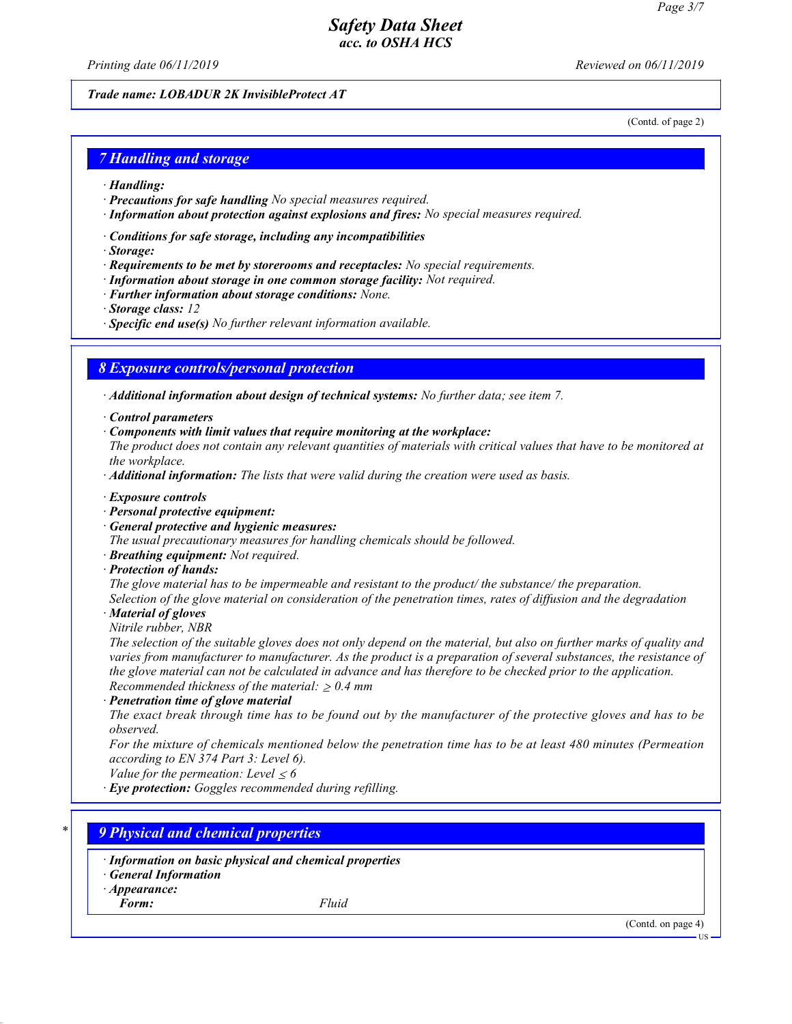Printing date  $06/11/2019$  Reviewed on  $06/11/2019$ 

#### Trade name: LOBADUR 2K InvisibleProtect AT

(Contd. of page 2)

#### 7 Handling and storage

- · Handling:
- · Precautions for safe handling No special measures required.
- · Information about protection against explosions and fires: No special measures required.
- · Conditions for safe storage, including any incompatibilities
- · Storage:
- $\cdot$  Requirements to be met by storerooms and receptacles: No special requirements.
- · Information about storage in one common storage facility: Not required.
- · Further information about storage conditions: None.
- · Storage class: 12
- · Specific end use(s) No further relevant information available.

#### 8 Exposure controls/personal protection

· Additional information about design of technical systems: No further data; see item 7.

· Control parameters

· Components with limit values that require monitoring at the workplace:

The product does not contain any relevant quantities of materials with critical values that have to be monitored at the workplace.

· Additional information: The lists that were valid during the creation were used as basis.

- · Exposure controls
- · Personal protective equipment:
- · General protective and hygienic measures:

The usual precautionary measures for handling chemicals should be followed.

· Breathing equipment: Not required.

· Protection of hands:

The glove material has to be impermeable and resistant to the product/ the substance/ the preparation.

Selection of the glove material on consideration of the penetration times, rates of diffusion and the degradation

· Material of gloves

Nitrile rubber, NBR

The selection of the suitable gloves does not only depend on the material, but also on further marks of quality and varies from manufacturer to manufacturer. As the product is a preparation of several substances, the resistance of the glove material can not be calculated in advance and has therefore to be checked prior to the application. Recommended thickness of the material:  $\geq 0.4$  mm

· Penetration time of glove material

The exact break through time has to be found out by the manufacturer of the protective gloves and has to be observed.

For the mixture of chemicals mentioned below the penetration time has to be at least 480 minutes (Permeation according to EN 374 Part 3: Level 6).

Value for the permeation: Level  $\leq 6$ 

· Eye protection: Goggles recommended during refilling.

## **9 Physical and chemical properties**

· Information on basic physical and chemical properties

· General Information

· Appearance:

Form: Fluid

49.0.2

(Contd. on page 4)

US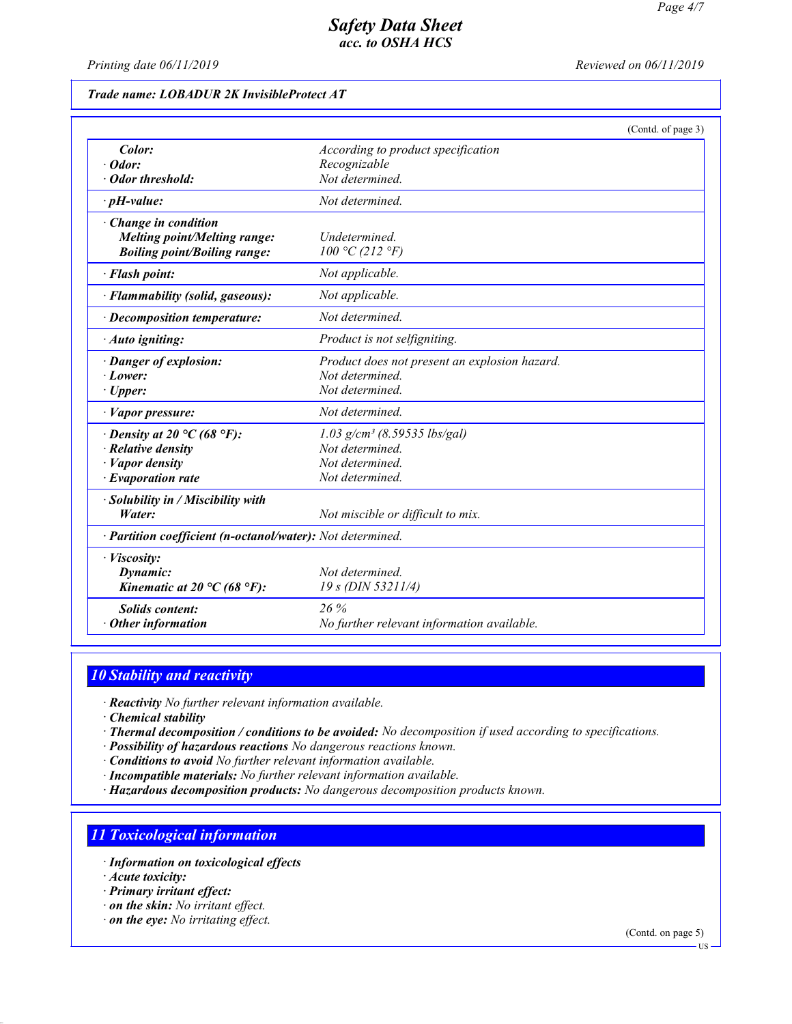Printing date  $06/11/2019$  Reviewed on  $06/11/2019$ 

## Trade name: LOBADUR 2K InvisibleProtect AT

|                                                                                                                           |                                                                                                     | (Contd. of page 3) |
|---------------------------------------------------------------------------------------------------------------------------|-----------------------------------------------------------------------------------------------------|--------------------|
| Color:<br>$\cdot$ Odor:<br>Odor threshold:                                                                                | According to product specification<br>Recognizable<br>Not determined.                               |                    |
| $\cdot$ pH-value:                                                                                                         | Not determined.                                                                                     |                    |
| · Change in condition<br><b>Melting point/Melting range:</b><br><b>Boiling point/Boiling range:</b>                       | Undetermined<br>100 °C (212 °F)                                                                     |                    |
| · Flash point:                                                                                                            | Not applicable.                                                                                     |                    |
| · Flammability (solid, gaseous):                                                                                          | Not applicable.                                                                                     |                    |
| $\cdot$ Decomposition temperature:                                                                                        | Not determined.                                                                                     |                    |
| · Auto igniting:                                                                                                          | Product is not selfigniting.                                                                        |                    |
| · Danger of explosion:<br>$\cdot$ Lower:<br>$\cdot$ Upper:                                                                | Product does not present an explosion hazard.<br>Not determined.<br>Not determined.                 |                    |
| $\cdot$ <i>Vapor pressure:</i>                                                                                            | Not determined.                                                                                     |                    |
| $\cdot$ Density at 20 °C (68 °F):<br>$\cdot$ Relative density<br>$\cdot$ <i>Vapor density</i><br>$\cdot$ Evaporation rate | $1.03$ g/cm <sup>3</sup> (8.59535 lbs/gal)<br>Not determined.<br>Not determined.<br>Not determined. |                    |
| · Solubility in / Miscibility with<br>Water:                                                                              | Not miscible or difficult to mix.                                                                   |                    |
| · Partition coefficient (n-octanol/water): Not determined.                                                                |                                                                                                     |                    |
| · Viscosity:<br>Dynamic:<br>Kinematic at 20 $\rm{C}$ (68 $\rm{P}$ ):                                                      | Not determined.<br>$19 s$ (DIN 53211/4)                                                             |                    |
| <b>Solids content:</b><br>$\cdot$ Other information                                                                       | 26%<br>No further relevant information available.                                                   |                    |

## 10 Stability and reactivity

· Reactivity No further relevant information available.

· Chemical stability

- · Thermal decomposition / conditions to be avoided: No decomposition if used according to specifications.
- · Possibility of hazardous reactions No dangerous reactions known.

· Conditions to avoid No further relevant information available.

· Incompatible materials: No further relevant information available.

· Hazardous decomposition products: No dangerous decomposition products known.

## 11 Toxicological information

- · Information on toxicological effects
- · Acute toxicity:

49.0.2

- · Primary irritant effect:
- · on the skin: No irritant effect.
- · on the eye: No irritating effect.

(Contd. on page 5)

US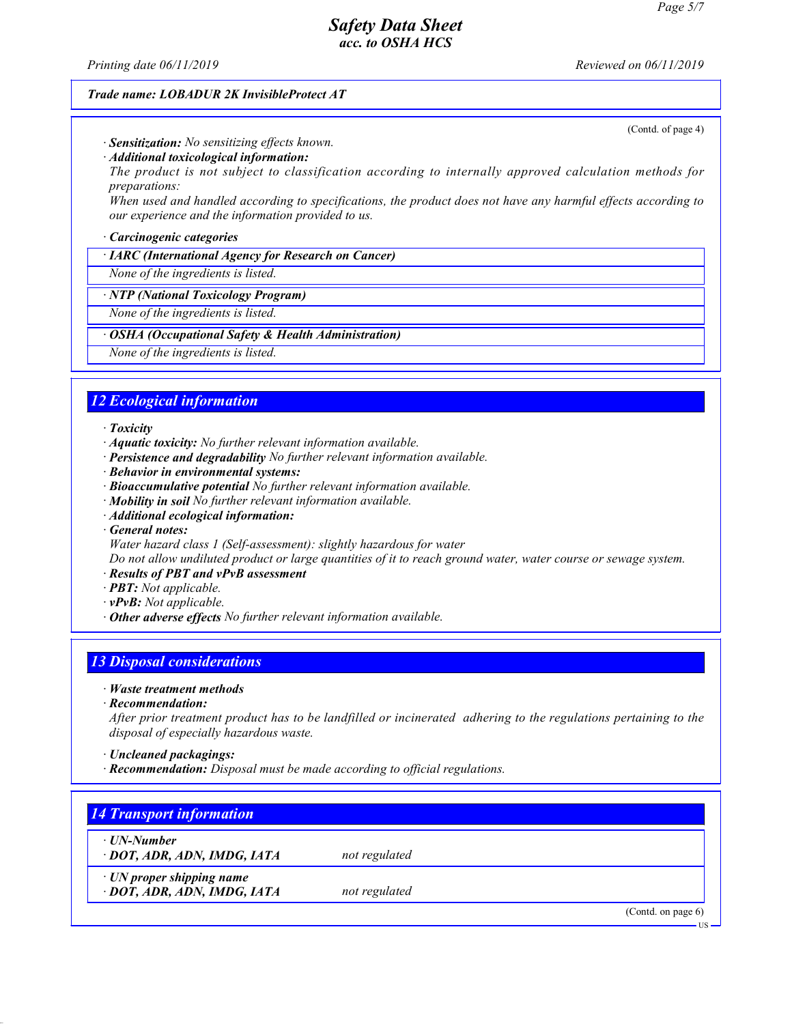Printing date  $06/11/2019$  Reviewed on  $06/11/2019$ 

(Contd. of page 4)

#### Trade name: LOBADUR 2K InvisibleProtect AT

· Sensitization: No sensitizing effects known.

· Additional toxicological information:

The product is not subject to classification according to internally approved calculation methods for preparations:

When used and handled according to specifications, the product does not have any harmful effects according to our experience and the information provided to us.

#### · Carcinogenic categories

· IARC (International Agency for Research on Cancer)

None of the ingredients is listed.

· NTP (National Toxicology Program)

None of the ingredients is listed.

#### OSHA (Occupational Safety & Health Administration)

None of the ingredients is listed.

## 12 Ecological information

#### · Toxicity

- $\cdot$  **Aquatic toxicity:** No further relevant information available.
- · Persistence and degradability No further relevant information available.
- · Behavior in environmental systems:
- · Bioaccumulative potential No further relevant information available.
- · Mobility in soil No further relevant information available.
- · Additional ecological information:
- · General notes:
- Water hazard class 1 (Self-assessment): slightly hazardous for water

Do not allow undiluted product or large quantities of it to reach ground water, water course or sewage system.

- · Results of PBT and vPvB assessment
- · PBT: Not applicable.
- · vPvB: Not applicable.
- · Other adverse effects No further relevant information available.

## 13 Disposal considerations

- · Waste treatment methods
- · Recommendation:

After prior treatment product has to be landfilled or incinerated adhering to the regulations pertaining to the disposal of especially hazardous waste.

- · Uncleaned packagings:
- · Recommendation: Disposal must be made according to official regulations.

## 14 Transport information

· UN-Number

49.0.2

- · **DOT, ADR, ADN, IMDG, IATA** not regulated
	-
- · UN proper shipping name
- · **DOT, ADR, ADN, IMDG, IATA** not regulated

(Contd. on page 6)

US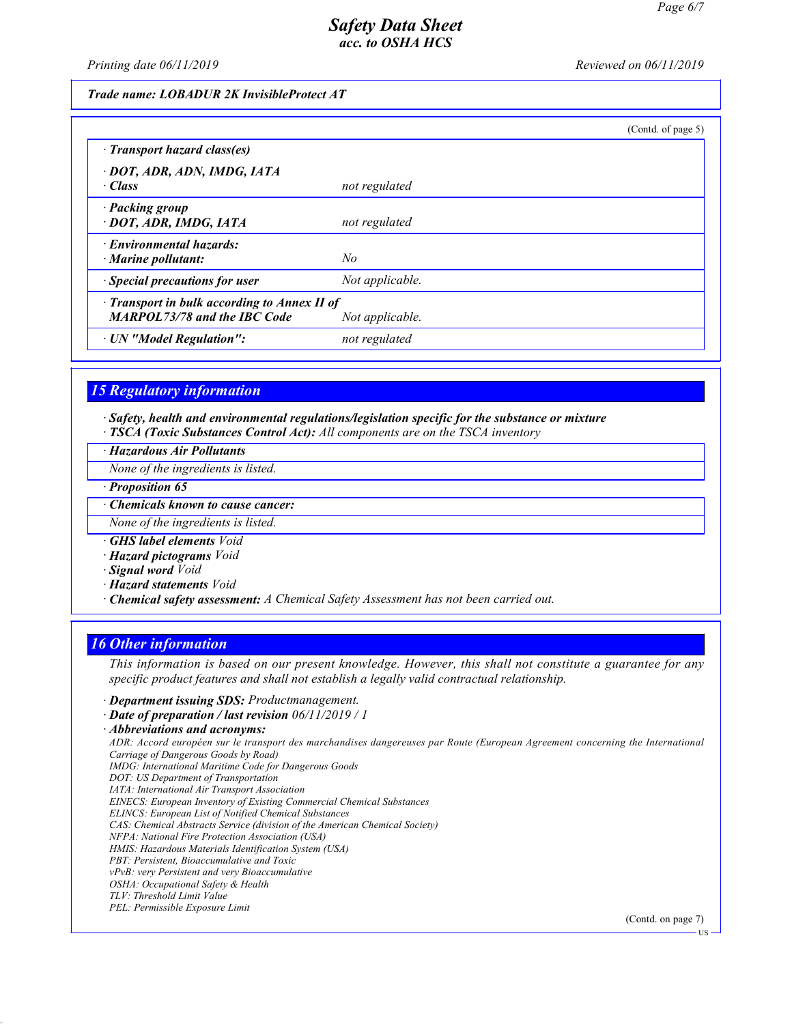US

## Safety Data Sheet acc. to OSHA HCS

Printing date  $06/11/2019$  Reviewed on  $06/11/2019$ 

#### Trade name: LOBADUR 2K InvisibleProtect AT

|                                                                                     | (Cond. of page 5) |
|-------------------------------------------------------------------------------------|-------------------|
| $\cdot$ Transport hazard class(es)                                                  |                   |
| · DOT, ADR, ADN, IMDG, IATA<br>· Class                                              | not regulated     |
| · Packing group<br>· DOT, ADR, IMDG, IATA                                           | not regulated     |
| · Environmental hazards:<br>$\cdot$ Marine pollutant:                               | No                |
| · Special precautions for user                                                      | Not applicable.   |
| · Transport in bulk according to Annex II of<br><b>MARPOL73/78 and the IBC Code</b> | Not applicable.   |
| · UN "Model Regulation":                                                            | not regulated     |

#### 15 Regulatory information

· Safety, health and environmental regulations/legislation specific for the substance or mixture · TSCA (Toxic Substances Control Act): All components are on the TSCA inventory

· Hazardous Air Pollutants

None of the ingredients is listed.

· Proposition 65

· Chemicals known to cause cancer:

None of the ingredients is listed.

· GHS label elements Void

· Hazard pictograms Void

- · Signal word Void
- · Hazard statements Void

· Chemical safety assessment: A Chemical Safety Assessment has not been carried out.

#### 16 Other information

49.0.2

This information is based on our present knowledge. However, this shall not constitute a guarantee for any specific product features and shall not establish a legally valid contractual relationship.

· Department issuing SDS: Productmanagement.

· Date of preparation / last revision 06/11/2019 / 1

· Abbreviations and acronyms: ADR: Accord européen sur le transport des marchandises dangereuses par Route (European Agreement concerning the International Carriage of Dangerous Goods by Road) IMDG: International Maritime Code for Dangerous Goods DOT: US Department of Transportation IATA: International Air Transport Association EINECS: European Inventory of Existing Commercial Chemical Substances ELINCS: European List of Notified Chemical Substances CAS: Chemical Abstracts Service (division of the American Chemical Society) NFPA: National Fire Protection Association (USA) HMIS: Hazardous Materials Identification System (USA) PBT: Persistent, Bioaccumulative and Toxic vPvB: very Persistent and very Bioaccumulative OSHA: Occupational Safety & Health TLV: Threshold Limit Value PEL: Permissible Exposure Limit (Contd. on page 7)